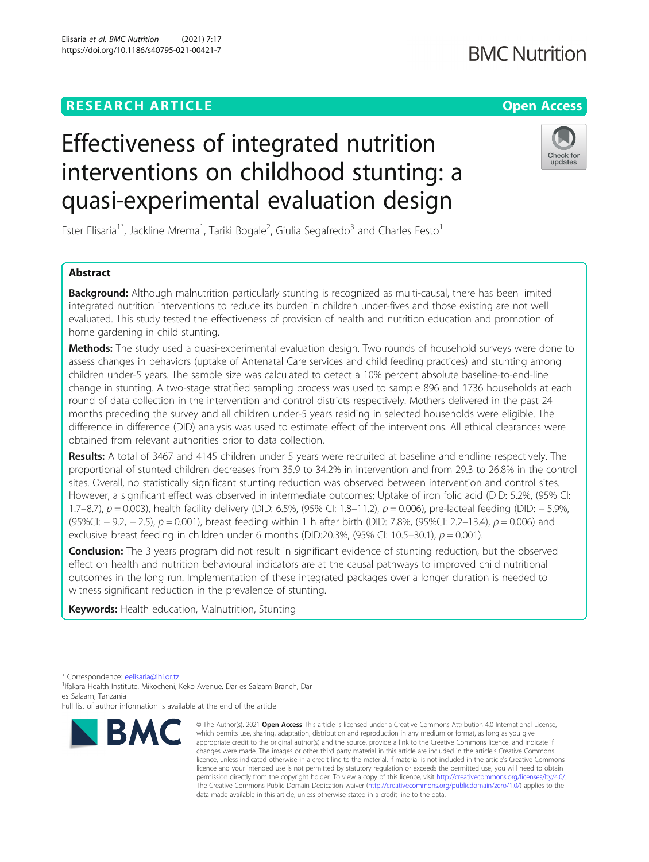# **RESEARCH ARTICLE Example 2014 12:30 The Contract of Contract ACCESS**

# Effectiveness of integrated nutrition interventions on childhood stunting: a quasi-experimental evaluation design

Ester Elisaria<sup>1\*</sup>, Jackline Mrema<sup>1</sup>, Tariki Bogale<sup>2</sup>, Giulia Segafredo<sup>3</sup> and Charles Festo<sup>1</sup>

## Abstract

Background: Although malnutrition particularly stunting is recognized as multi-causal, there has been limited integrated nutrition interventions to reduce its burden in children under-fives and those existing are not well evaluated. This study tested the effectiveness of provision of health and nutrition education and promotion of home gardening in child stunting.

Methods: The study used a quasi-experimental evaluation design. Two rounds of household surveys were done to assess changes in behaviors (uptake of Antenatal Care services and child feeding practices) and stunting among children under-5 years. The sample size was calculated to detect a 10% percent absolute baseline-to-end-line change in stunting. A two-stage stratified sampling process was used to sample 896 and 1736 households at each round of data collection in the intervention and control districts respectively. Mothers delivered in the past 24 months preceding the survey and all children under-5 years residing in selected households were eligible. The difference in difference (DID) analysis was used to estimate effect of the interventions. All ethical clearances were obtained from relevant authorities prior to data collection.

Results: A total of 3467 and 4145 children under 5 years were recruited at baseline and endline respectively. The proportional of stunted children decreases from 35.9 to 34.2% in intervention and from 29.3 to 26.8% in the control sites. Overall, no statistically significant stunting reduction was observed between intervention and control sites. However, a significant effect was observed in intermediate outcomes; Uptake of iron folic acid (DID: 5.2%, (95% CI: 1.7–8.7), p = 0.003), health facility delivery (DID: 6.5%, (95% CI: 1.8–11.2), p = 0.006), pre-lacteal feeding (DID: − 5.9%, (95%CI: − 9.2, − 2.5), p = 0.001), breast feeding within 1 h after birth (DID: 7.8%, (95%CI: 2.2–13.4), p = 0.006) and exclusive breast feeding in children under 6 months (DID:20.3%, (95% CI: 10.5–30.1),  $p = 0.001$ ).

**Conclusion:** The 3 years program did not result in significant evidence of stunting reduction, but the observed effect on health and nutrition behavioural indicators are at the causal pathways to improved child nutritional outcomes in the long run. Implementation of these integrated packages over a longer duration is needed to witness significant reduction in the prevalence of stunting.

data made available in this article, unless otherwise stated in a credit line to the data.

© The Author(s), 2021 **Open Access** This article is licensed under a Creative Commons Attribution 4.0 International License, which permits use, sharing, adaptation, distribution and reproduction in any medium or format, as long as you give appropriate credit to the original author(s) and the source, provide a link to the Creative Commons licence, and indicate if

Keywords: Health education, Malnutrition, Stunting

\* Correspondence: [eelisaria@ihi.or.tz](mailto:eelisaria@ihi.or.tz) <sup>1</sup>

**BMC** 

<sup>1</sup> Ifakara Health Institute, Mikocheni, Keko Avenue. Dar es Salaam Branch, Dar es Salaam, Tanzania

Full list of author information is available at the end of the article



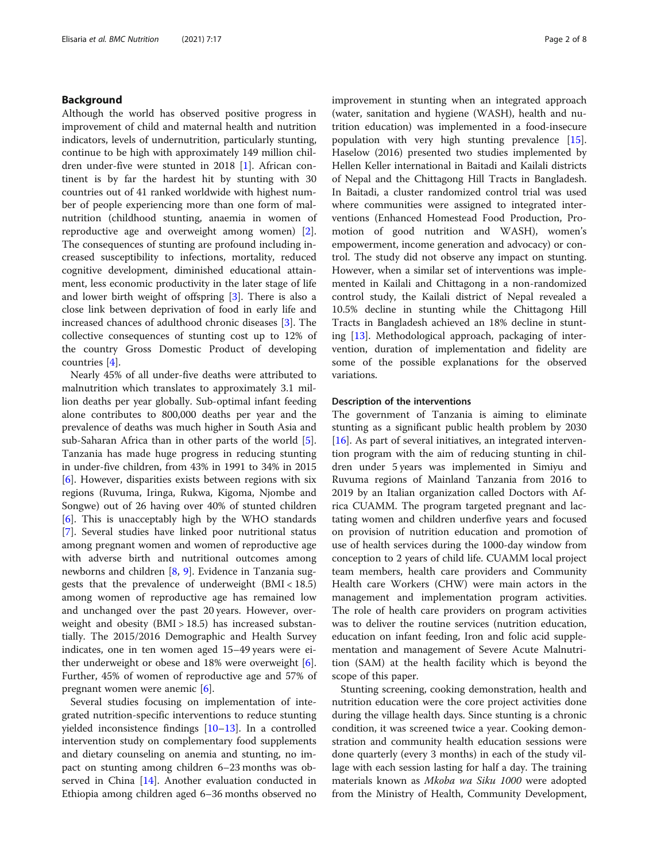#### Background

Although the world has observed positive progress in improvement of child and maternal health and nutrition indicators, levels of undernutrition, particularly stunting, continue to be high with approximately 149 million children under-five were stunted in 2018 [\[1](#page-6-0)]. African continent is by far the hardest hit by stunting with 30 countries out of 41 ranked worldwide with highest number of people experiencing more than one form of malnutrition (childhood stunting, anaemia in women of reproductive age and overweight among women) [\[2](#page-6-0)]. The consequences of stunting are profound including increased susceptibility to infections, mortality, reduced cognitive development, diminished educational attainment, less economic productivity in the later stage of life and lower birth weight of offspring [\[3\]](#page-6-0). There is also a close link between deprivation of food in early life and increased chances of adulthood chronic diseases [[3\]](#page-6-0). The collective consequences of stunting cost up to 12% of the country Gross Domestic Product of developing countries [[4\]](#page-6-0).

Nearly 45% of all under-five deaths were attributed to malnutrition which translates to approximately 3.1 million deaths per year globally. Sub-optimal infant feeding alone contributes to 800,000 deaths per year and the prevalence of deaths was much higher in South Asia and sub-Saharan Africa than in other parts of the world [\[5](#page-6-0)]. Tanzania has made huge progress in reducing stunting in under-five children, from 43% in 1991 to 34% in 2015 [[6\]](#page-7-0). However, disparities exists between regions with six regions (Ruvuma, Iringa, Rukwa, Kigoma, Njombe and Songwe) out of 26 having over 40% of stunted children [[6\]](#page-7-0). This is unacceptably high by the WHO standards [[7\]](#page-7-0). Several studies have linked poor nutritional status among pregnant women and women of reproductive age with adverse birth and nutritional outcomes among newborns and children [[8,](#page-7-0) [9](#page-7-0)]. Evidence in Tanzania suggests that the prevalence of underweight (BMI < 18.5) among women of reproductive age has remained low and unchanged over the past 20 years. However, overweight and obesity (BMI > 18.5) has increased substantially. The 2015/2016 Demographic and Health Survey indicates, one in ten women aged 15–49 years were either underweight or obese and 18% were overweight  $[6]$  $[6]$ . Further, 45% of women of reproductive age and 57% of pregnant women were anemic [[6\]](#page-7-0).

Several studies focusing on implementation of integrated nutrition-specific interventions to reduce stunting yielded inconsistence findings [\[10](#page-7-0)–[13\]](#page-7-0). In a controlled intervention study on complementary food supplements and dietary counseling on anemia and stunting, no impact on stunting among children 6–23 months was observed in China [\[14](#page-7-0)]. Another evaluation conducted in Ethiopia among children aged 6–36 months observed no improvement in stunting when an integrated approach (water, sanitation and hygiene (WASH), health and nutrition education) was implemented in a food-insecure population with very high stunting prevalence [\[15](#page-7-0)]. Haselow (2016) presented two studies implemented by Hellen Keller international in Baitadi and Kailali districts of Nepal and the Chittagong Hill Tracts in Bangladesh. In Baitadi, a cluster randomized control trial was used where communities were assigned to integrated interventions (Enhanced Homestead Food Production, Promotion of good nutrition and WASH), women's empowerment, income generation and advocacy) or control. The study did not observe any impact on stunting. However, when a similar set of interventions was implemented in Kailali and Chittagong in a non-randomized control study, the Kailali district of Nepal revealed a 10.5% decline in stunting while the Chittagong Hill Tracts in Bangladesh achieved an 18% decline in stunting [\[13\]](#page-7-0). Methodological approach, packaging of intervention, duration of implementation and fidelity are some of the possible explanations for the observed variations.

#### Description of the interventions

The government of Tanzania is aiming to eliminate stunting as a significant public health problem by 2030 [[16\]](#page-7-0). As part of several initiatives, an integrated intervention program with the aim of reducing stunting in children under 5 years was implemented in Simiyu and Ruvuma regions of Mainland Tanzania from 2016 to 2019 by an Italian organization called Doctors with Africa CUAMM. The program targeted pregnant and lactating women and children underfive years and focused on provision of nutrition education and promotion of use of health services during the 1000-day window from conception to 2 years of child life. CUAMM local project team members, health care providers and Community Health care Workers (CHW) were main actors in the management and implementation program activities. The role of health care providers on program activities was to deliver the routine services (nutrition education, education on infant feeding, Iron and folic acid supplementation and management of Severe Acute Malnutrition (SAM) at the health facility which is beyond the scope of this paper.

Stunting screening, cooking demonstration, health and nutrition education were the core project activities done during the village health days. Since stunting is a chronic condition, it was screened twice a year. Cooking demonstration and community health education sessions were done quarterly (every 3 months) in each of the study village with each session lasting for half a day. The training materials known as Mkoba wa Siku 1000 were adopted from the Ministry of Health, Community Development,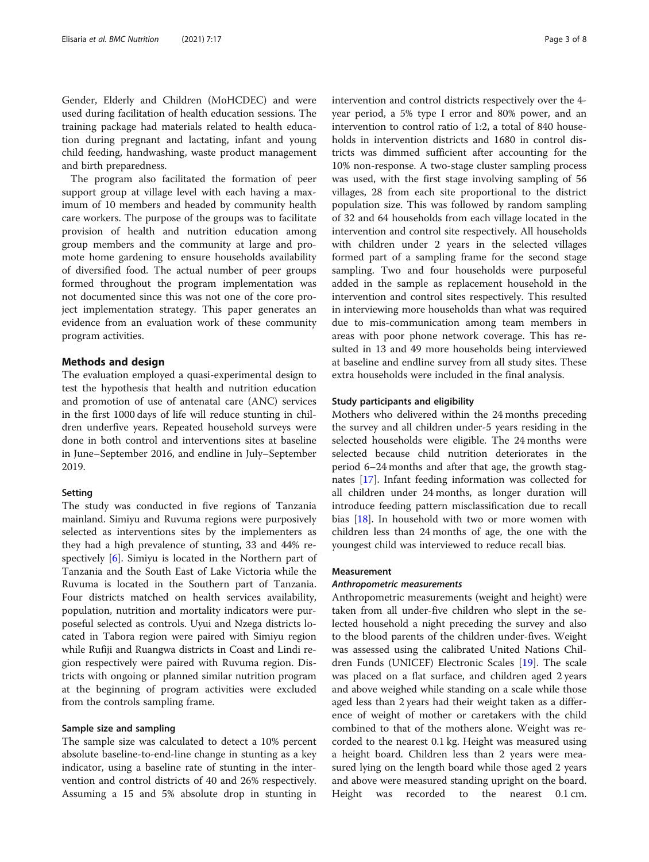Gender, Elderly and Children (MoHCDEC) and were used during facilitation of health education sessions. The training package had materials related to health education during pregnant and lactating, infant and young child feeding, handwashing, waste product management and birth preparedness.

The program also facilitated the formation of peer support group at village level with each having a maximum of 10 members and headed by community health care workers. The purpose of the groups was to facilitate provision of health and nutrition education among group members and the community at large and promote home gardening to ensure households availability of diversified food. The actual number of peer groups formed throughout the program implementation was not documented since this was not one of the core project implementation strategy. This paper generates an evidence from an evaluation work of these community program activities.

#### Methods and design

The evaluation employed a quasi-experimental design to test the hypothesis that health and nutrition education and promotion of use of antenatal care (ANC) services in the first 1000 days of life will reduce stunting in children underfive years. Repeated household surveys were done in both control and interventions sites at baseline in June–September 2016, and endline in July–September 2019.

#### Setting

The study was conducted in five regions of Tanzania mainland. Simiyu and Ruvuma regions were purposively selected as interventions sites by the implementers as they had a high prevalence of stunting, 33 and 44% respectively [[6\]](#page-7-0). Simiyu is located in the Northern part of Tanzania and the South East of Lake Victoria while the Ruvuma is located in the Southern part of Tanzania. Four districts matched on health services availability, population, nutrition and mortality indicators were purposeful selected as controls. Uyui and Nzega districts located in Tabora region were paired with Simiyu region while Rufiji and Ruangwa districts in Coast and Lindi region respectively were paired with Ruvuma region. Districts with ongoing or planned similar nutrition program at the beginning of program activities were excluded from the controls sampling frame.

#### Sample size and sampling

The sample size was calculated to detect a 10% percent absolute baseline-to-end-line change in stunting as a key indicator, using a baseline rate of stunting in the intervention and control districts of 40 and 26% respectively. Assuming a 15 and 5% absolute drop in stunting in intervention and control districts respectively over the 4 year period, a 5% type I error and 80% power, and an intervention to control ratio of 1:2, a total of 840 households in intervention districts and 1680 in control districts was dimmed sufficient after accounting for the 10% non-response. A two-stage cluster sampling process was used, with the first stage involving sampling of 56 villages, 28 from each site proportional to the district population size. This was followed by random sampling of 32 and 64 households from each village located in the intervention and control site respectively. All households with children under 2 years in the selected villages formed part of a sampling frame for the second stage sampling. Two and four households were purposeful added in the sample as replacement household in the intervention and control sites respectively. This resulted in interviewing more households than what was required due to mis-communication among team members in areas with poor phone network coverage. This has resulted in 13 and 49 more households being interviewed at baseline and endline survey from all study sites. These extra households were included in the final analysis.

#### Study participants and eligibility

Mothers who delivered within the 24 months preceding the survey and all children under-5 years residing in the selected households were eligible. The 24 months were selected because child nutrition deteriorates in the period 6–24 months and after that age, the growth stagnates [\[17\]](#page-7-0). Infant feeding information was collected for all children under 24 months, as longer duration will introduce feeding pattern misclassification due to recall bias [[18\]](#page-7-0). In household with two or more women with children less than 24 months of age, the one with the youngest child was interviewed to reduce recall bias.

#### Measurement

Anthropometric measurements Anthropometric measurements (weight and height) were taken from all under-five children who slept in the selected household a night preceding the survey and also to the blood parents of the children under-fives. Weight was assessed using the calibrated United Nations Children Funds (UNICEF) Electronic Scales [\[19](#page-7-0)]. The scale was placed on a flat surface, and children aged 2 years and above weighed while standing on a scale while those aged less than 2 years had their weight taken as a difference of weight of mother or caretakers with the child combined to that of the mothers alone. Weight was recorded to the nearest 0.1 kg. Height was measured using a height board. Children less than 2 years were measured lying on the length board while those aged 2 years and above were measured standing upright on the board. Height was recorded to the nearest 0.1 cm.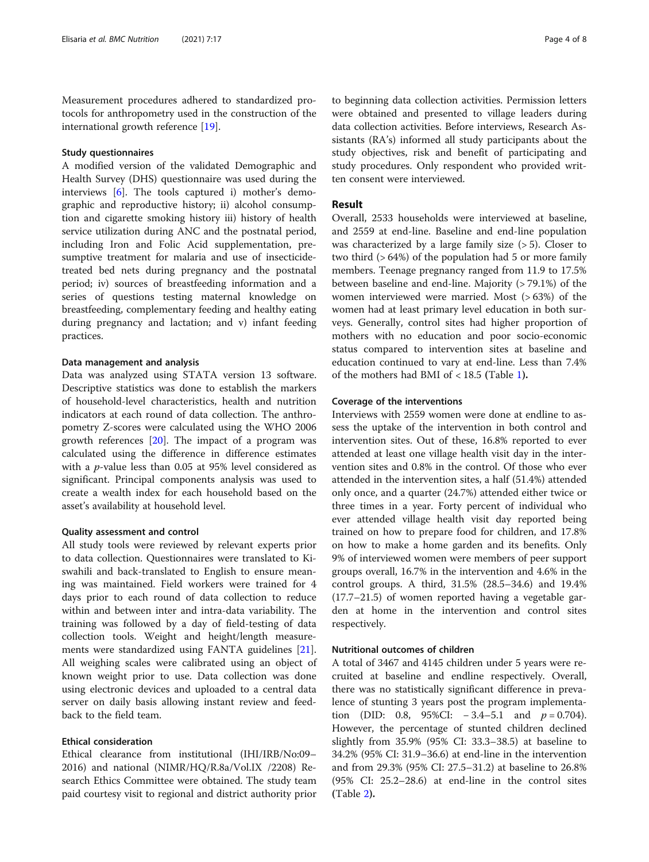Measurement procedures adhered to standardized protocols for anthropometry used in the construction of the international growth reference [\[19](#page-7-0)].

#### Study questionnaires

A modified version of the validated Demographic and Health Survey (DHS) questionnaire was used during the interviews [[6\]](#page-7-0). The tools captured i) mother's demographic and reproductive history; ii) alcohol consumption and cigarette smoking history iii) history of health service utilization during ANC and the postnatal period, including Iron and Folic Acid supplementation, presumptive treatment for malaria and use of insecticidetreated bed nets during pregnancy and the postnatal period; iv) sources of breastfeeding information and a series of questions testing maternal knowledge on breastfeeding, complementary feeding and healthy eating during pregnancy and lactation; and v) infant feeding practices.

#### Data management and analysis

Data was analyzed using STATA version 13 software. Descriptive statistics was done to establish the markers of household-level characteristics, health and nutrition indicators at each round of data collection. The anthropometry Z-scores were calculated using the WHO 2006 growth references [[20\]](#page-7-0). The impact of a program was calculated using the difference in difference estimates with a p-value less than 0.05 at 95% level considered as significant. Principal components analysis was used to create a wealth index for each household based on the asset's availability at household level.

#### Quality assessment and control

All study tools were reviewed by relevant experts prior to data collection. Questionnaires were translated to Kiswahili and back-translated to English to ensure meaning was maintained. Field workers were trained for 4 days prior to each round of data collection to reduce within and between inter and intra-data variability. The training was followed by a day of field-testing of data collection tools. Weight and height/length measurements were standardized using FANTA guidelines [\[21](#page-7-0)]. All weighing scales were calibrated using an object of known weight prior to use. Data collection was done using electronic devices and uploaded to a central data server on daily basis allowing instant review and feedback to the field team.

#### Ethical consideration

Ethical clearance from institutional (IHI/IRB/No:09– 2016) and national (NIMR/HQ/R.8a/Vol.IX /2208) Research Ethics Committee were obtained. The study team paid courtesy visit to regional and district authority prior

to beginning data collection activities. Permission letters were obtained and presented to village leaders during data collection activities. Before interviews, Research Assistants (RA's) informed all study participants about the study objectives, risk and benefit of participating and study procedures. Only respondent who provided written consent were interviewed.

#### Result

Overall, 2533 households were interviewed at baseline, and 2559 at end-line. Baseline and end-line population was characterized by a large family size  $(> 5)$ . Closer to two third (> 64%) of the population had 5 or more family members. Teenage pregnancy ranged from 11.9 to 17.5% between baseline and end-line. Majority (> 79.1%) of the women interviewed were married. Most (> 63%) of the women had at least primary level education in both surveys. Generally, control sites had higher proportion of mothers with no education and poor socio-economic status compared to intervention sites at baseline and education continued to vary at end-line. Less than 7.4% of the mothers had BMI of < 18.5 (Table [1](#page-4-0)).

#### Coverage of the interventions

Interviews with 2559 women were done at endline to assess the uptake of the intervention in both control and intervention sites. Out of these, 16.8% reported to ever attended at least one village health visit day in the intervention sites and 0.8% in the control. Of those who ever attended in the intervention sites, a half (51.4%) attended only once, and a quarter (24.7%) attended either twice or three times in a year. Forty percent of individual who ever attended village health visit day reported being trained on how to prepare food for children, and 17.8% on how to make a home garden and its benefits. Only 9% of interviewed women were members of peer support groups overall, 16.7% in the intervention and 4.6% in the control groups. A third, 31.5% (28.5–34.6) and 19.4% (17.7–21.5) of women reported having a vegetable garden at home in the intervention and control sites respectively.

#### Nutritional outcomes of children

A total of 3467 and 4145 children under 5 years were recruited at baseline and endline respectively. Overall, there was no statistically significant difference in prevalence of stunting 3 years post the program implementation (DID: 0.8, 95%CI:  $-3.4-5.1$  and  $p = 0.704$ ). However, the percentage of stunted children declined slightly from 35.9% (95% CI: 33.3–38.5) at baseline to 34.2% (95% CI: 31.9–36.6) at end-line in the intervention and from 29.3% (95% CI: 27.5–31.2) at baseline to 26.8% (95% CI: 25.2–28.6) at end-line in the control sites (Table [2](#page-4-0)).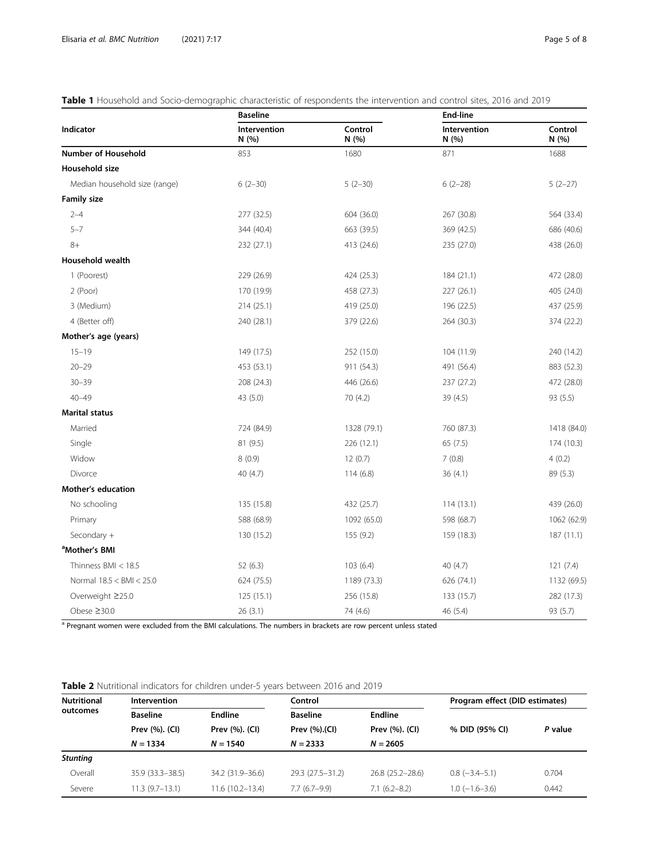<span id="page-4-0"></span>

| Table 1 Household and Socio-demographic characteristic of respondents the intervention and control sites, 2016 and 2019 |  |
|-------------------------------------------------------------------------------------------------------------------------|--|
|-------------------------------------------------------------------------------------------------------------------------|--|

|                               | <b>Baseline</b>       |                  | <b>End-line</b>       |                  |  |
|-------------------------------|-----------------------|------------------|-----------------------|------------------|--|
| Indicator                     | Intervention<br>N (%) | Control<br>N (%) | Intervention<br>N (%) | Control<br>N (%) |  |
| <b>Number of Household</b>    | 853                   | 1680             | 871                   | 1688             |  |
| Household size                |                       |                  |                       |                  |  |
| Median household size (range) | $6(2-30)$             | $5(2-30)$        | $6(2-28)$             | $5(2-27)$        |  |
| <b>Family size</b>            |                       |                  |                       |                  |  |
| $2 - 4$                       | 277 (32.5)            | 604 (36.0)       | 267 (30.8)            | 564 (33.4)       |  |
| $5 - 7$                       | 344 (40.4)            | 663 (39.5)       | 369 (42.5)            | 686 (40.6)       |  |
| $8+$                          | 232 (27.1)            | 413 (24.6)       | 235 (27.0)            | 438 (26.0)       |  |
| <b>Household wealth</b>       |                       |                  |                       |                  |  |
| 1 (Poorest)                   | 229 (26.9)            | 424 (25.3)       | 184(21.1)             | 472 (28.0)       |  |
| 2 (Poor)                      | 170 (19.9)            | 458 (27.3)       | 227 (26.1)            | 405 (24.0)       |  |
| 3 (Medium)                    | 214(25.1)             | 419 (25.0)       | 196 (22.5)            | 437 (25.9)       |  |
| 4 (Better off)                | 240 (28.1)            | 379 (22.6)       | 264 (30.3)            | 374 (22.2)       |  |
| Mother's age (years)          |                       |                  |                       |                  |  |
| $15 - 19$                     | 149 (17.5)            | 252 (15.0)       | 104 (11.9)            | 240 (14.2)       |  |
| $20 - 29$                     | 453 (53.1)            | 911 (54.3)       | 491 (56.4)            | 883 (52.3)       |  |
| $30 - 39$                     | 208 (24.3)            | 446 (26.6)       | 237 (27.2)            | 472 (28.0)       |  |
| $40 - 49$                     | 43 (5.0)              | 70 (4.2)         | 39 (4.5)              | 93 (5.5)         |  |
| <b>Marital status</b>         |                       |                  |                       |                  |  |
| Married                       | 724 (84.9)            | 1328 (79.1)      | 760 (87.3)            | 1418 (84.0)      |  |
| Single                        | 81 (9.5)              | 226 (12.1)       | 65(7.5)               | 174 (10.3)       |  |
| Widow                         | 8(0.9)                | 12(0.7)          | 7(0.8)                | 4(0.2)           |  |
| Divorce                       | 40 (4.7)              | 114(6.8)         | 36(4.1)               | 89 (5.3)         |  |
| <b>Mother's education</b>     |                       |                  |                       |                  |  |
| No schooling                  | 135 (15.8)            | 432 (25.7)       | 114(13.1)             | 439 (26.0)       |  |
| Primary                       | 588 (68.9)            | 1092 (65.0)      | 598 (68.7)            | 1062 (62.9)      |  |
| Secondary +                   | 130 (15.2)            | 155 (9.2)        | 159 (18.3)            | 187(11.1)        |  |
| <sup>a</sup> Mother's BMI     |                       |                  |                       |                  |  |
| Thinness $BMI < 18.5$         | 52 (6.3)              | 103(6.4)         | 40 (4.7)              | 121(7.4)         |  |
| Normal 18.5 < BMI < 25.0      | 624 (75.5)            | 1189 (73.3)      | 626 (74.1)            | 1132 (69.5)      |  |
| Overweight ≥25.0              | 125(15.1)             | 256 (15.8)       | 133 (15.7)            | 282 (17.3)       |  |
| Obese ≥30.0                   | 26(3.1)               | 74 (4.6)         | 46 (5.4)              | 93 (5.7)         |  |

a Pregnant women were excluded from the BMI calculations. The numbers in brackets are row percent unless stated

# Table 2 Nutritional indicators for children under-5 years between 2016 and 2019

| <b>Nutritional</b><br>outcomes | <b>Intervention</b> |                    | Control            |                     | Program effect (DID estimates) |         |
|--------------------------------|---------------------|--------------------|--------------------|---------------------|--------------------------------|---------|
|                                | <b>Baseline</b>     | Endline            | <b>Baseline</b>    | <b>Endline</b>      |                                |         |
|                                | Prev (%). (CI)      | Prev (%). (CI)     | Prev (%).(CI)      | Prev (%). (CI)      | % DID (95% CI)                 | P value |
|                                | $N = 1334$          | $N = 1540$         | $N = 2333$         | $N = 2605$          |                                |         |
| <b>Stunting</b>                |                     |                    |                    |                     |                                |         |
| Overall                        | $35.9(33.3 - 38.5)$ | 34.2 (31.9 - 36.6) | 29.3 (27.5 - 31.2) | $26.8(25.2 - 28.6)$ | $0.8$ ( $-3.4-5.1$ )           | 0.704   |
| Severe                         | $11.3(9.7-13.1)$    | 11.6 (10.2–13.4)   | $7.7(6.7-9.9)$     | $7.1(6.2 - 8.2)$    | $1.0$ ( $-1.6 - 3.6$ )         | 0.442   |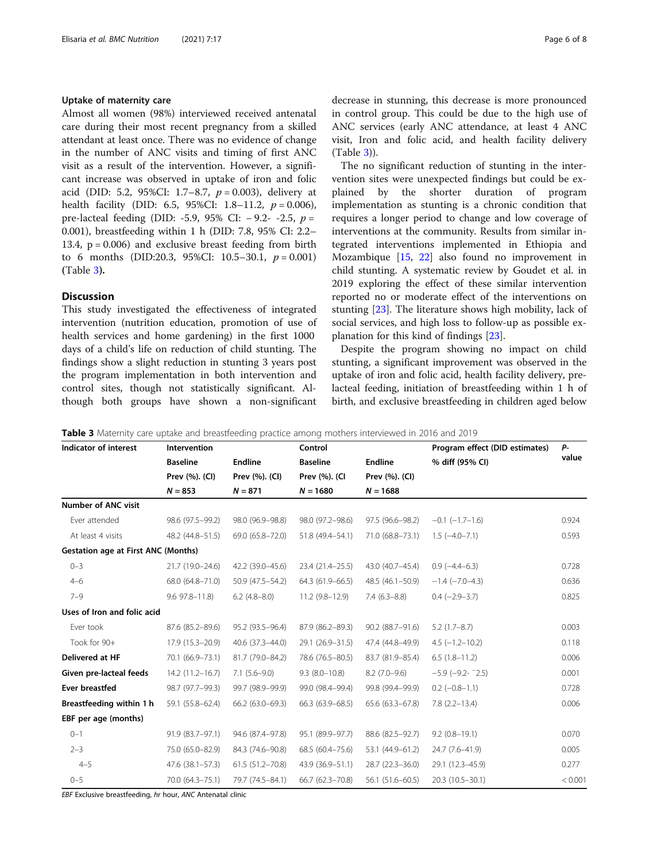#### Uptake of maternity care

Almost all women (98%) interviewed received antenatal care during their most recent pregnancy from a skilled attendant at least once. There was no evidence of change in the number of ANC visits and timing of first ANC visit as a result of the intervention. However, a significant increase was observed in uptake of iron and folic acid (DID: 5.2, 95%CI: 1.7–8.7,  $p = 0.003$ ), delivery at health facility (DID: 6.5, 95%CI: 1.8–11.2,  $p = 0.006$ ), pre-lacteal feeding (DID: -5.9, 95% CI:  $-9.2$ - -2.5,  $p =$ 0.001), breastfeeding within 1 h (DID: 7.8, 95% CI: 2.2– 13.4,  $p = 0.006$ ) and exclusive breast feeding from birth to 6 months (DID:20.3, 95%CI: 10.5–30.1,  $p = 0.001$ ) (Table 3).

#### **Discussion**

This study investigated the effectiveness of integrated intervention (nutrition education, promotion of use of health services and home gardening) in the first 1000 days of a child's life on reduction of child stunting. The findings show a slight reduction in stunting 3 years post the program implementation in both intervention and control sites, though not statistically significant. Although both groups have shown a non-significant decrease in stunning, this decrease is more pronounced in control group. This could be due to the high use of ANC services (early ANC attendance, at least 4 ANC visit, Iron and folic acid, and health facility delivery (Table 3)).

The no significant reduction of stunting in the intervention sites were unexpected findings but could be explained by the shorter duration of program implementation as stunting is a chronic condition that requires a longer period to change and low coverage of interventions at the community. Results from similar integrated interventions implemented in Ethiopia and Mozambique [\[15,](#page-7-0) [22](#page-7-0)] also found no improvement in child stunting. A systematic review by Goudet et al. in 2019 exploring the effect of these similar intervention reported no or moderate effect of the interventions on stunting [[23](#page-7-0)]. The literature shows high mobility, lack of social services, and high loss to follow-up as possible explanation for this kind of findings [[23\]](#page-7-0).

Despite the program showing no impact on child stunting, a significant improvement was observed in the uptake of iron and folic acid, health facility delivery, prelacteal feeding, initiation of breastfeeding within 1 h of birth, and exclusive breastfeeding in children aged below

| Table 3 Maternity care uptake and breastfeeding practice among mothers interviewed in 2016 and 2019 |  |
|-----------------------------------------------------------------------------------------------------|--|
|-----------------------------------------------------------------------------------------------------|--|

| Indicator of interest                      | Intervention           |                     | Control             |                     | Program effect (DID estimates) | Р-      |
|--------------------------------------------|------------------------|---------------------|---------------------|---------------------|--------------------------------|---------|
|                                            | <b>Baseline</b>        | <b>Endline</b>      | <b>Baseline</b>     | <b>Endline</b>      | % diff (95% CI)                | value   |
|                                            | Prev (%). (CI)         | Prev (%). (CI)      | Prev (%). (CI       | Prev (%). (CI)      |                                |         |
|                                            | $N = 853$              | $N = 871$           | $N = 1680$          | $N = 1688$          |                                |         |
| <b>Number of ANC visit</b>                 |                        |                     |                     |                     |                                |         |
| Ever attended                              | 98.6 (97.5-99.2)       | 98.0 (96.9-98.8)    | 98.0 (97.2-98.6)    | 97.5 (96.6–98.2)    | $-0.1$ $(-1.7-1.6)$            | 0.924   |
| At least 4 visits                          | 48.2 (44.8-51.5)       | 69.0 (65.8-72.0)    | 51.8 (49.4-54.1)    | 71.0 (68.8-73.1)    | $1.5(-4.0 - 7.1)$              | 0.593   |
| <b>Gestation age at First ANC (Months)</b> |                        |                     |                     |                     |                                |         |
| $0 - 3$                                    | 21.7 (19.0-24.6)       | 42.2 (39.0-45.6)    | $23.4(21.4-25.5)$   | 43.0 (40.7-45.4)    | $0.9(-4.4-6.3)$                | 0.728   |
| $4 - 6$                                    | 68.0 (64.8-71.0)       | 50.9 (47.5–54.2)    | $64.3(61.9 - 66.5)$ | 48.5 (46.1–50.9)    | $-1.4$ ( $-7.0-4.3$ )          | 0.636   |
| $7 - 9$                                    | $9.6$ $97.8 - 11.8$    | $6.2$ (4.8-8.0)     | $11.2(9.8-12.9)$    | $7.4(6.3-8.8)$      | $0.4$ (-2.9-3.7)               | 0.825   |
| Uses of Iron and folic acid                |                        |                     |                     |                     |                                |         |
| Ever took                                  | 87.6 (85.2-89.6)       | 95.2 (93.5–96.4)    | 87.9 (86.2-89.3)    | 90.2 (88.7-91.6)    | $5.2(1.7-8.7)$                 | 0.003   |
| Took for 90+                               | 17.9 (15.3-20.9)       | 40.6 (37.3-44.0)    | 29.1 (26.9-31.5)    | 47.4 (44.8-49.9)    | $4.5$ ( $-1.2 - 10.2$ )        | 0.118   |
| Delivered at HF                            | 70.1 (66.9-73.1)       | 81.7 (79.0-84.2)    | 78.6 (76.5-80.5)    | 83.7 (81.9–85.4)    | $6.5(1.8-11.2)$                | 0.006   |
| Given pre-lacteal feeds                    | $14.2(11.2 - 16.7)$    | $7.1(5.6-9.0)$      | $9.3(8.0-10.8)$     | $8.2(7.0-9.6)$      | $-5.9$ ( $-9.2 - 2.5$ )        | 0.001   |
| <b>Ever breastfed</b>                      | 98.7 (97.7-99.3)       | 99.7 (98.9–99.9)    | 99.0 (98.4-99.4)    | 99.8 (99.4-99.9)    | $0.2$ ( $-0.8-1.1$ )           | 0.728   |
| Breastfeeding within 1 h                   | 59.1 (55.8-62.4)       | 66.2 (63.0-69.3)    | $66.3(63.9 - 68.5)$ | 65.6 (63.3-67.8)    | $7.8$ $(2.2 - 13.4)$           | 0.006   |
| EBF per age (months)                       |                        |                     |                     |                     |                                |         |
| $0 - 1$                                    | 91.9 (83.7-97.1)       | 94.6 (87.4–97.8)    | 95.1 (89.9-97.7)    | 88.6 (82.5-92.7)    | $9.2(0.8-19.1)$                | 0.070   |
| $2 - 3$                                    | 75.0 (65.0-82.9)       | 84.3 (74.6–90.8)    | 68.5 (60.4 - 75.6)  | 53.1 (44.9-61.2)    | 24.7 (7.6–41.9)                | 0.005   |
| $4 - 5$                                    | $47.6$ $(38.1 - 57.3)$ | $61.5(51.2 - 70.8)$ | 43.9 (36.9-51.1)    | $28.7(22.3 - 36.0)$ | 29.1 (12.3-45.9)               | 0.277   |
| $0 - 5$                                    | 70.0 (64.3-75.1)       | 79.7 (74.5-84.1)    | 66.7 (62.3-70.8)    | 56.1 (51.6-60.5)    | 20.3 (10.5-30.1)               | < 0.001 |

EBF Exclusive breastfeeding, hr hour, ANC Antenatal clinic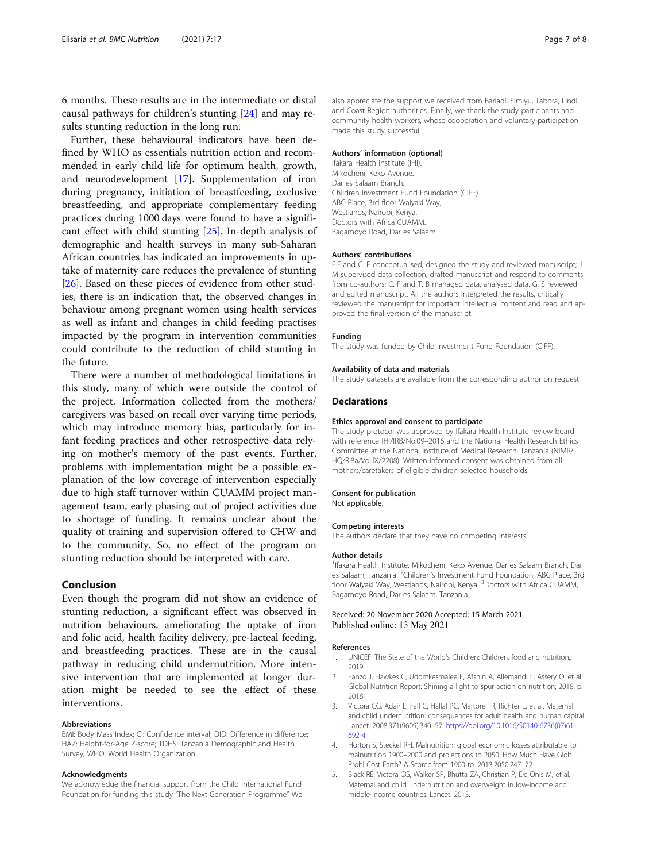<span id="page-6-0"></span>6 months. These results are in the intermediate or distal causal pathways for children's stunting [[24\]](#page-7-0) and may results stunting reduction in the long run.

Further, these behavioural indicators have been defined by WHO as essentials nutrition action and recommended in early child life for optimum health, growth, and neurodevelopment [\[17](#page-7-0)]. Supplementation of iron during pregnancy, initiation of breastfeeding, exclusive breastfeeding, and appropriate complementary feeding practices during 1000 days were found to have a significant effect with child stunting [\[25](#page-7-0)]. In-depth analysis of demographic and health surveys in many sub-Saharan African countries has indicated an improvements in uptake of maternity care reduces the prevalence of stunting [[26\]](#page-7-0). Based on these pieces of evidence from other studies, there is an indication that, the observed changes in behaviour among pregnant women using health services as well as infant and changes in child feeding practises impacted by the program in intervention communities could contribute to the reduction of child stunting in the future.

There were a number of methodological limitations in this study, many of which were outside the control of the project. Information collected from the mothers/ caregivers was based on recall over varying time periods, which may introduce memory bias, particularly for infant feeding practices and other retrospective data relying on mother's memory of the past events. Further, problems with implementation might be a possible explanation of the low coverage of intervention especially due to high staff turnover within CUAMM project management team, early phasing out of project activities due to shortage of funding. It remains unclear about the quality of training and supervision offered to CHW and to the community. So, no effect of the program on stunting reduction should be interpreted with care.

#### Conclusion

Even though the program did not show an evidence of stunting reduction, a significant effect was observed in nutrition behaviours, ameliorating the uptake of iron and folic acid, health facility delivery, pre-lacteal feeding, and breastfeeding practices. These are in the causal pathway in reducing child undernutrition. More intensive intervention that are implemented at longer duration might be needed to see the effect of these interventions.

#### Abbreviations

BMI: Body Mass Index; CI: Confidence interval; DID: Difference in difference; HAZ: Height-for-Age Z-score; TDHS: Tanzania Demographic and Health Survey; WHO: World Health Organization

#### Acknowledgments

We acknowledge the financial support from the Child International Fund Foundation for funding this study "The Next Generation Programme" We also appreciate the support we received from Bariadi, Simiyu, Tabora, Lindi and Coast Region authorities. Finally, we thank the study participants and community health workers, whose cooperation and voluntary participation made this study successful.

#### Authors' information (optional)

Ifakara Health Institute (IHI). Mikocheni, Keko Avenue. Dar es Salaam Branch. Children Investment Fund Foundation (CIFF). ABC Place, 3rd floor Waiyaki Way, Westlands, Nairobi, Kenya. Doctors with Africa CUAMM. Bagamoyo Road, Dar es Salaam.

#### Authors' contributions

E.E and C. F conceptualised, designed the study and reviewed manuscript; J. M supervised data collection, drafted manuscript and respond to comments from co-authors; C. F and T. B managed data, analysed data. G. S reviewed and edited manuscript. All the authors interpreted the results, critically reviewed the manuscript for important intellectual content and read and approved the final version of the manuscript.

#### Funding

The study was funded by Child Investment Fund Foundation (CIFF).

#### Availability of data and materials

The study datasets are available from the corresponding author on request.

#### Declarations

#### Ethics approval and consent to participate

The study protocol was approved by Ifakara Health Institute review board with reference IHI/IRB/No:09–2016 and the National Health Research Ethics Committee at the National Institute of Medical Research, Tanzania (NIMR/ HQ/R.8a/Vol.IX/2208). Written informed consent was obtained from all mothers/caretakers of eligible children selected households.

#### Consent for publication

Not applicable.

#### Competing interests

The authors declare that they have no competing interests.

#### Author details

<sup>1</sup> Ifakara Health Institute, Mikocheni, Keko Avenue. Dar es Salaam Branch, Dar es Salaam, Tanzania. <sup>2</sup>Children's Investment Fund Foundation, ABC Place, 3rd floor Waiyaki Way, Westlands, Nairobi, Kenya. <sup>3</sup>Doctors with Africa CUAMM Bagamoyo Road, Dar es Salaam, Tanzania.

#### Received: 20 November 2020 Accepted: 15 March 2021 Published online: 13 May 2021

#### References

- 1. UNICEF. The State of the World's Children: Children, food and nutrition,. 2019.
- 2. Fanzo J, Hawkes C, Udomkesmalee E, Afshin A, Allemandi L, Assery O, et al. Global Nutrition Report: Shining a light to spur action on nutrition; 2018. p. 2018.
- 3. Victora CG, Adair L, Fall C, Hallal PC, Martorell R, Richter L, et al. Maternal and child undernutrition: consequences for adult health and human capital. Lancet. 2008;371(9609):340–57. [https://doi.org/10.1016/S0140-6736\(07\)61](https://doi.org/10.1016/S0140-6736(07)61692-4) [692-4](https://doi.org/10.1016/S0140-6736(07)61692-4).
- 4. Horton S, Steckel RH. Malnutrition: global economic losses attributable to malnutrition 1900–2000 and projections to 2050. How Much Have Glob Probl Cost Earth? A Scorec from 1900 to. 2013;2050:247–72.
- 5. Black RE, Victora CG, Walker SP, Bhutta ZA, Christian P, De Onis M, et al. Maternal and child undernutrition and overweight in low-income and middle-income countries. Lancet. 2013.